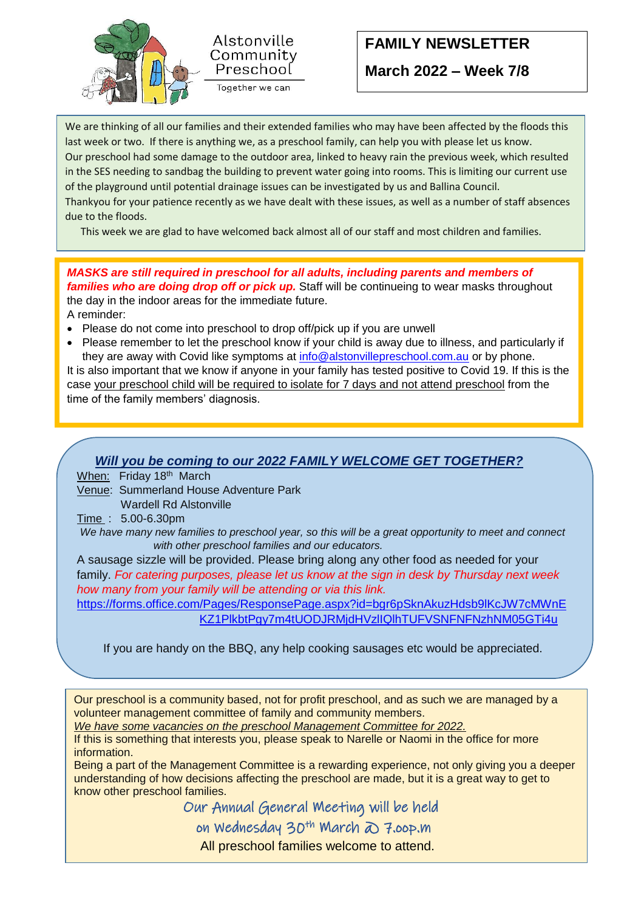



## **FAMILY NEWSLETTER**

**March 2022 – Week 7/8**

 Thankyou for your patience recently as we have dealt with these issues, as well as a number of staff absences We are thinking of all our families and their extended families who may have been affected by the floods this last week or two. If there is anything we, as a preschool family, can help you with please let us know. Our preschool had some damage to the outdoor area, linked to heavy rain the previous week, which resulted in the SES needing to sandbag the building to prevent water going into rooms. This is limiting our current use of the playground until potential drainage issues can be investigated by us and Ballina Council. due to the floods.

This week we are glad to have welcomed back almost all of our staff and most children and families.

*MASKS are still required in preschool for all adults, including parents and members of families who are doing drop off or pick up.* Staff will be continueing to wear masks throughout the day in the indoor areas for the immediate future. A reminder:

- Please do not come into preschool to drop off/pick up if you are unwell
- Please remember to let the preschool know if your child is away due to illness, and particularly if they are away with Covid like symptoms at [info@alstonvillepreschool.com.au](mailto:info@alstonvillepreschool.com.au) or by phone.

It is also important that we know if anyone in your family has tested positive to Covid 19. If this is the case your preschool child will be required to isolate for 7 days and not attend preschool from the time of the family members' diagnosis.

## *Will you be coming to our 2022 FAMILY WELCOME GET TOGETHER?*

When: Friday 18<sup>th</sup> March

Venue: Summerland House Adventure Park

Wardell Rd Alstonville

Time : 5.00-6.30pm

*We have many new families to preschool year, so this will be a great opportunity to meet and connect with other preschool families and our educators.* 

A sausage sizzle will be provided. Please bring along any other food as needed for your family. *For catering purposes, please let us know at the sign in desk by Thursday next week how many from your family will be attending or via this link.*

[https://forms.office.com/Pages/ResponsePage.aspx?id=bgr6pSknAkuzHdsb9lKcJW7cMWnE](https://forms.office.com/Pages/ResponsePage.aspx?id=bgr6pSknAkuzHdsb9lKcJW7cMWnEKZ1PlkbtPgy7m4tUODJRMjdHVzlIQlhTUFVSNFNFNzhNM05GTi4u) [KZ1PlkbtPgy7m4tUODJRMjdHVzlIQlhTUFVSNFNFNzhNM05GTi4u](https://forms.office.com/Pages/ResponsePage.aspx?id=bgr6pSknAkuzHdsb9lKcJW7cMWnEKZ1PlkbtPgy7m4tUODJRMjdHVzlIQlhTUFVSNFNFNzhNM05GTi4u)

If you are handy on the BBQ, any help cooking sausages etc would be appreciated.

Our preschool is a community based, not for profit preschool, and as such we are managed by a volunteer management committee of family and community members.

*We have some vacancies on the preschool Management Committee for 2022.*

If this is something that interests you, please speak to Narelle or Naomi in the office for more information.

Being a part of the Management Committee is a rewarding experience, not only giving you a deeper understanding of how decisions affecting the preschool are made, but it is a great way to get to know other preschool families.

Our Annual General Meeting will be held

**on Wednesday 30th March @ 7.00p.m** 

All preschool families welcome to attend.